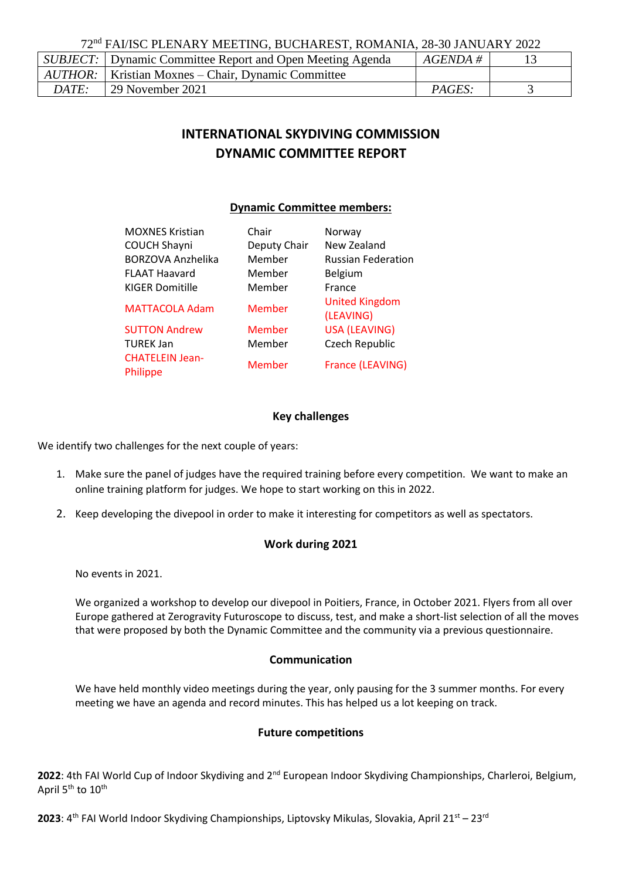72nd FAI/ISC PLENARY MEETING, BUCHAREST, ROMANIA, 28-30 JANUARY 2022

|              | SUBJECT:   Dynamic Committee Report and Open Meeting Agenda      | $AGENDA \#$   |  |
|--------------|------------------------------------------------------------------|---------------|--|
|              | $\mid$ AUTHOR: $\mid$ Kristian Moxnes – Chair, Dynamic Committee |               |  |
| <i>DATE:</i> | 29 November 2021                                                 | <i>PAGES:</i> |  |

## **INTERNATIONAL SKYDIVING COMMISSION DYNAMIC COMMITTEE REPORT**

#### **Dynamic Committee members:**

| <b>MOXNES Kristian</b>             | Chair        | Norway                             |
|------------------------------------|--------------|------------------------------------|
| <b>COUCH Shayni</b>                | Deputy Chair | New Zealand                        |
| <b>BORZOVA Anzhelika</b>           | Member       | <b>Russian Federation</b>          |
| <b>FLAAT Haavard</b>               | Member       | <b>Belgium</b>                     |
| <b>KIGER Domitille</b>             | Member       | <b>France</b>                      |
| <b>MATTACOLA Adam</b>              | Member       | <b>United Kingdom</b><br>(LEAVING) |
| <b>SUTTON Andrew</b>               | Member       | <b>USA (LEAVING)</b>               |
| <b>TUREK Jan</b>                   | Member       | Czech Republic                     |
| <b>CHATELEIN Jean-</b><br>Philippe | Member       | France (LEAVING)                   |

#### **Key challenges**

We identify two challenges for the next couple of years:

- 1. Make sure the panel of judges have the required training before every competition. We want to make an online training platform for judges. We hope to start working on this in 2022.
- 2. Keep developing the divepool in order to make it interesting for competitors as well as spectators.

#### **Work during 2021**

No events in 2021.

We organized a workshop to develop our divepool in Poitiers, France, in October 2021. Flyers from all over Europe gathered at [Zerogravity Futuroscope](https://www.facebook.com/zerOGravityfuturoscope/?__cft__%5b0%5d=AZXRvqEC9iJ9zE3004_aNWriKCydwrD3e-j4KacakoWTFHBLC5zYEY4Q1wOuTVJcmgSTeBePBLcTBEZrlfz-APwDPxVOkwEhExO_dItV8pBXrpzLlvEQU0WajD6Dbpjkf01qXB74YlwWtWVM_WWQsbE6TTUdlRBJ87EIlEVfkcagkA&__tn__=kK-R) to discuss, test, and make a short-list selection of all the moves that were proposed by both the Dynamic Committee and the community via a previous questionnaire.

#### **Communication**

We have held monthly video meetings during the year, only pausing for the 3 summer months. For every meeting we have an agenda and record minutes. This has helped us a lot keeping on track.

#### **Future competitions**

2022: 4th FAI World Cup of Indoor Skydiving and 2<sup>nd</sup> European Indoor Skydiving Championships, Charleroi, Belgium, April 5<sup>th</sup> to 10<sup>th</sup>

**2023**: 4<sup>th</sup> FAI World Indoor Skydiving Championships, Liptovsky Mikulas, Slovakia, April 21<sup>st</sup> – 23<sup>rd</sup>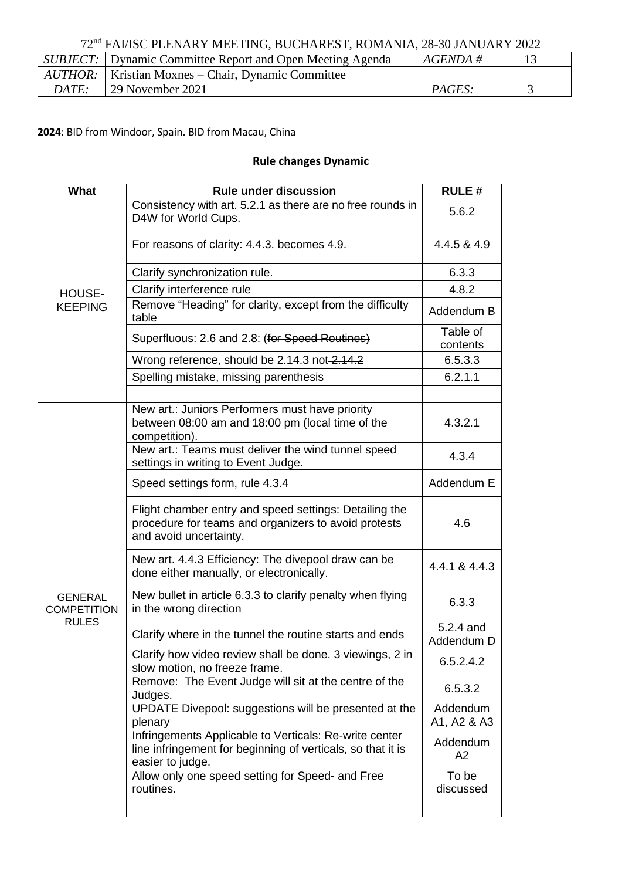# 72nd FAI/ISC PLENARY MEETING, BUCHAREST, ROMANIA, 28-30 JANUARY 2022

|       | <i>SUBJECT</i> : Dynamic Committee Report and Open Meeting Agenda | $AGENDA \#$   |  |
|-------|-------------------------------------------------------------------|---------------|--|
|       | <i>AUTHOR</i> :   Kristian Moxnes – Chair, Dynamic Committee      |               |  |
| DATE: | 29 November 2021                                                  | <i>PAGES:</i> |  |

**2024**: BID from Windoor, Spain. BID from Macau, China

### **Rule changes Dynamic**

| What                                 | <b>Rule under discussion</b>                                                                                                              | <b>RULE#</b>            |
|--------------------------------------|-------------------------------------------------------------------------------------------------------------------------------------------|-------------------------|
| HOUSE-<br><b>KEEPING</b>             | Consistency with art. 5.2.1 as there are no free rounds in<br>D4W for World Cups.                                                         | 5.6.2                   |
|                                      | For reasons of clarity: 4.4.3. becomes 4.9.                                                                                               | 4.4.5 & 4.9             |
|                                      | Clarify synchronization rule.                                                                                                             | 6.3.3                   |
|                                      | Clarify interference rule                                                                                                                 | 4.8.2                   |
|                                      | Remove "Heading" for clarity, except from the difficulty<br>table                                                                         | Addendum B              |
|                                      | Superfluous: 2.6 and 2.8: (for Speed Routines)                                                                                            | Table of<br>contents    |
|                                      | Wrong reference, should be 2.14.3 not 2.14.2                                                                                              | 6.5.3.3                 |
|                                      | Spelling mistake, missing parenthesis                                                                                                     | 6.2.1.1                 |
|                                      |                                                                                                                                           |                         |
|                                      | New art.: Juniors Performers must have priority<br>between 08:00 am and 18:00 pm (local time of the<br>competition).                      | 4.3.2.1                 |
|                                      | New art.: Teams must deliver the wind tunnel speed<br>settings in writing to Event Judge.                                                 | 4.3.4                   |
|                                      | Speed settings form, rule 4.3.4                                                                                                           | Addendum E              |
|                                      | Flight chamber entry and speed settings: Detailing the<br>procedure for teams and organizers to avoid protests<br>and avoid uncertainty.  | 4.6                     |
|                                      | New art. 4.4.3 Efficiency: The divepool draw can be<br>done either manually, or electronically.                                           | 4.4.1 & 4.4.3           |
| <b>GENERAL</b><br><b>COMPETITION</b> | New bullet in article 6.3.3 to clarify penalty when flying<br>in the wrong direction                                                      | 6.3.3                   |
| <b>RULES</b>                         | Clarify where in the tunnel the routine starts and ends                                                                                   | 5.2.4 and<br>Addendum D |
|                                      | Clarify how video review shall be done. 3 viewings, 2 in<br>slow motion, no freeze frame.                                                 | 6.5.2.4.2               |
|                                      | Remove: The Event Judge will sit at the centre of the<br>Judges.                                                                          | 6.5.3.2                 |
|                                      | UPDATE Divepool: suggestions will be presented at the<br>plenary                                                                          | Addendum<br>A1, A2 & A3 |
|                                      | Infringements Applicable to Verticals: Re-write center<br>line infringement for beginning of verticals, so that it is<br>easier to judge. | Addendum<br>A2          |
|                                      | Allow only one speed setting for Speed- and Free<br>routines.                                                                             | To be<br>discussed      |
|                                      |                                                                                                                                           |                         |